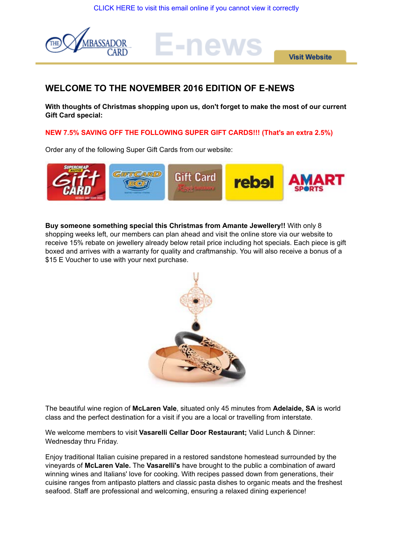E-news



**Visit Website** 

# **WELCOME TO THE NOVEMBER 2016 EDITION OF E-NEWS**

**With thoughts of Christmas shopping upon us, don't forget to make the most of our current Gift Card special:**

**NEW 7.5% SAVING OFF THE FOLLOWING SUPER GIFT CARDS!!! (That's an extra 2.5%)**

Order any of the following Super Gift Cards from our website:



**Buy someone something special this Christmas from Amante Jewellery!!** With only 8 shopping weeks left, our members can plan ahead and visit the online store via our website to receive 15% rebate on jewellery already below retail price including hot specials. Each piece is gift boxed and arrives with a warranty for quality and craftmanship. You will also receive a bonus of a \$15 E Voucher to use with your next purchase.



The beautiful wine region of **McLaren Vale**, situated only 45 minutes from **Adelaide, SA** is world class and the perfect destination for a visit if you are a local or travelling from interstate.

We welcome members to visit **Vasarelli Cellar Door Restaurant;** Valid Lunch & Dinner: Wednesday thru Friday.

Enjoy traditional Italian cuisine prepared in a restored sandstone homestead surrounded by the vineyards of **McLaren Vale.** The **Vasarelli's** have brought to the public a combination of award winning wines and Italians' love for cooking. With recipes passed down from generations, their cuisine ranges from antipasto platters and classic pasta dishes to organic meats and the freshest seafood. Staff are professional and welcoming, ensuring a relaxed dining experience!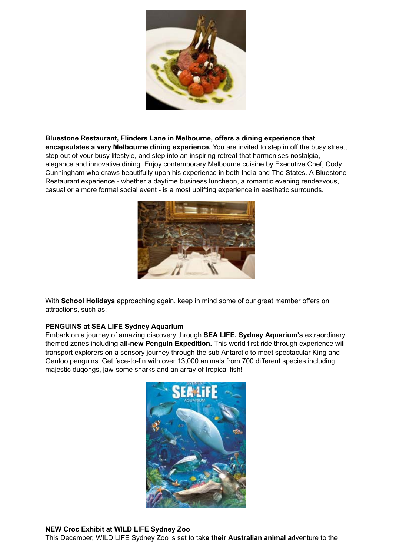

**Bluestone Restaurant, Flinders Lane in Melbourne, offers a dining experience that encapsulates a very Melbourne dining experience.** You are invited to step in off the busy street, step out of your busy lifestyle, and step into an inspiring retreat that harmonises nostalgia, elegance and innovative dining. Enjoy contemporary Melbourne cuisine by Executive Chef, Cody Cunningham who draws beautifully upon his experience in both India and The States. A Bluestone Restaurant experience - whether a daytime business luncheon, a romantic evening rendezvous, casual or a more formal social event - is a most uplifting experience in aesthetic surrounds.



With **School Holidays** approaching again, keep in mind some of our great member offers on attractions, such as:

# **PENGUINS at SEA LIFE Sydney Aquarium**

Embark on a journey of amazing discovery through **SEA LIFE, Sydney Aquarium's** extraordinary themed zones including **all-new Penguin Expedition.** This world first ride through experience will transport explorers on a sensory journey through the sub Antarctic to meet spectacular King and Gentoo penguins. Get face-to-fin with over 13,000 animals from 700 different species including majestic dugongs, jaw-some sharks and an array of tropical fish!



**NEW Croc Exhibit at WILD LIFE Sydney Zoo**

This December, WILD LIFE Sydney Zoo is set to tak**e their Australian animal a**dventure to the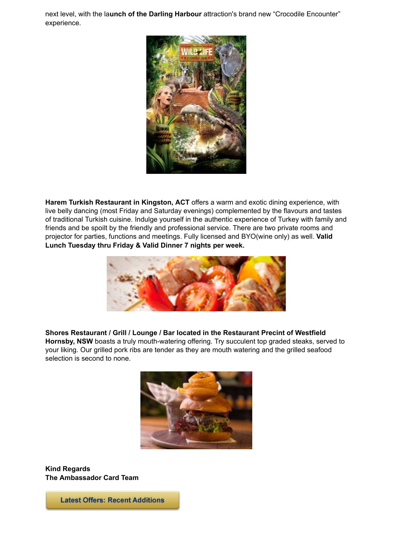next level, with the la**unch of the Darling Harbour** attraction's brand new "Crocodile Encounter" experience.



**Harem Turkish Restaurant in Kingston, ACT** offers a warm and exotic dining experience, with live belly dancing (most Friday and Saturday evenings) complemented by the flavours and tastes of traditional Turkish cuisine. Indulge yourself in the authentic experience of Turkey with family and friends and be spoilt by the friendly and professional service. There are two private rooms and projector for parties, functions and meetings. Fully licensed and BYO(wine only) as well. **Valid Lunch Tuesday thru Friday & Valid Dinner 7 nights per week.**



**Shores Restaurant / Grill / Lounge / Bar located in the Restaurant Precint of Westfield**

**Hornsby, NSW** boasts a truly mouth-watering offering. Try succulent top graded steaks, served to your liking. Our grilled pork ribs are tender as they are mouth watering and the grilled seafood selection is second to none.



**Kind Regards The Ambassador Card Team**

**Latest Offers: Recent Additions**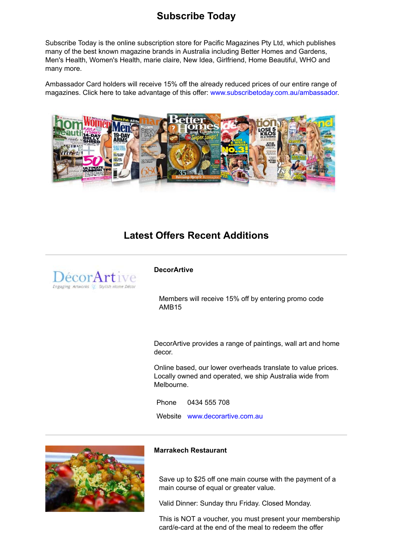# **Subscribe Today**

Subscribe Today is the online subscription store for Pacific Magazines Pty Ltd, which publishes many of the best known magazine brands in Australia including Better Homes and Gardens, Men's Health, Women's Health, marie claire, New Idea, Girlfriend, Home Beautiful, WHO and many more.

Ambassador Card holders will receive 15% off the already reduced prices of our entire range of magazines. Click here to take advantage of this offer: www.subscribetoday.com.au/ambassador.



# **Latest Offers Recent Additions**



#### **DecorArtive**

Members will receive 15% off by entering promo code AMB15

DecorArtive provides a range of paintings, wall art and home decor.

Online based, our lower overheads translate to value prices. Locally owned and operated, we ship Australia wide from Melbourne.

Phone 0434 555 708 Website www.decorartive.com.au



#### **Marrakech Restaurant**

Save up to \$25 off one main course with the payment of a main course of equal or greater value.

Valid Dinner: Sunday thru Friday. Closed Monday.

This is NOT a voucher, you must present your membership card/e-card at the end of the meal to redeem the offer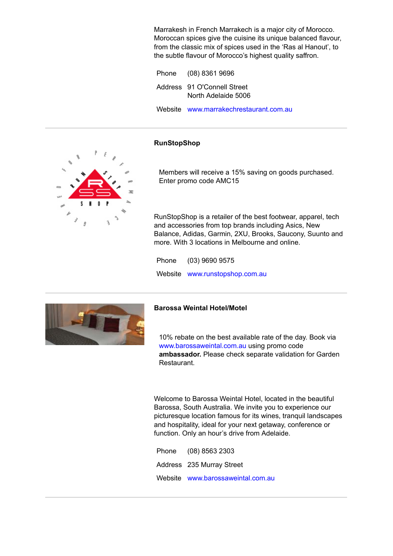Marrakesh in French Marrakech is a major city of Morocco. Moroccan spices give the cuisine its unique balanced flavour, from the classic mix of spices used in the 'Ras al Hanout', to the subtle flavour of Morocco's highest quality saffron.

| Phone (08) 8361 9696                               |
|----------------------------------------------------|
| Address 91 O'Connell Street<br>North Adelaide 5006 |
| Website www.marrakechrestaurant.com.au             |

## **RunStopShop**



Members will receive a 15% saving on goods purchased. Enter promo code AMC15

RunStopShop is a retailer of the best footwear, apparel, tech and accessories from top brands including Asics, New Balance, Adidas, Garmin, 2XU, Brooks, Saucony, Suunto and more. With 3 locations in Melbourne and online.

Phone (03) 9690 9575 Website www.runstopshop.com.au



#### **Barossa Weintal Hotel/Motel**

10% rebate on the best available rate of the day. Book via www.barossaweintal.com.au using promo code **ambassador.** Please check separate validation for Garden Restaurant.

Welcome to Barossa Weintal Hotel, located in the beautiful Barossa, South Australia. We invite you to experience our picturesque location famous for its wines, tranquil landscapes and hospitality, ideal for your next getaway, conference or function. Only an hour's drive from Adelaide.

| Phone (08) 8563 2303              |
|-----------------------------------|
| Address 235 Murray Street         |
| Website www.barossaweintal.com.au |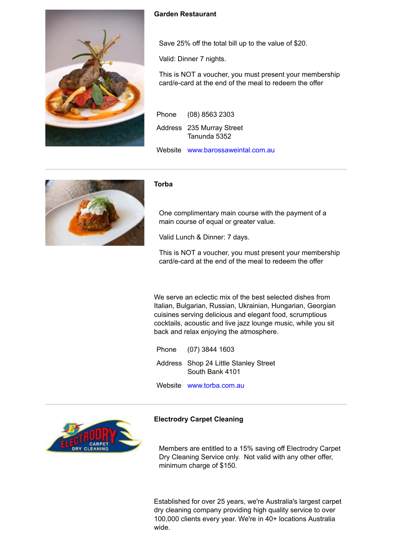

# **Garden Restaurant**

Save 25% off the total bill up to the value of \$20.

Valid: Dinner 7 nights.

This is NOT a voucher, you must present your membership card/e-card at the end of the meal to redeem the offer

| Phone (08) 8563 2303                      |
|-------------------------------------------|
| Address 235 Murray Street<br>Tanunda 5352 |
| Website www.barossaweintal.com.au         |



#### **Torba**

One complimentary main course with the payment of a main course of equal or greater value.

Valid Lunch & Dinner: 7 days.

This is NOT a voucher, you must present your membership card/e-card at the end of the meal to redeem the offer

We serve an eclectic mix of the best selected dishes from Italian, Bulgarian, Russian, Ukrainian, Hungarian, Georgian cuisines serving delicious and elegant food, scrumptious cocktails, acoustic and live jazz lounge music, while you sit back and relax enjoying the atmosphere.

Phone (07) 3844 1603 Address Shop 24 Little Stanley Street South Bank 4101

Website www.torba.com.au

# **Electrodry Carpet Cleaning**

Members are entitled to a 15% saving off Electrodry Carpet Dry Cleaning Service only. Not valid with any other offer, minimum charge of \$150.

Established for over 25 years, we're Australia's largest carpet dry cleaning company providing high quality service to over 100,000 clients every year. We're in 40+ locations Australia wide.

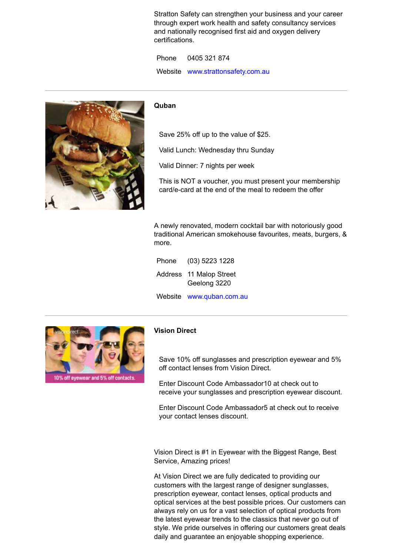Stratton Safety can strengthen your business and your career through expert work health and safety consultancy services and nationally recognised first aid and oxygen delivery certifications.

Phone 0405 321 874 Website www.strattonsafety.com.au

#### **Quban**

Save 25% off up to the value of \$25.

Valid Lunch: Wednesday thru Sunday

Valid Dinner: 7 nights per week

This is NOT a voucher, you must present your membership card/e-card at the end of the meal to redeem the offer

A newly renovated, modern cocktail bar with notoriously good traditional American smokehouse favourites, meats, burgers, & more.

Phone (03) 5223 1228 Address 11 Malop Street Geelong 3220

Website www.quban.com.au



# **Vision Direct**

Save 10% off sunglasses and prescription eyewear and 5% off contact lenses from Vision Direct.

Enter Discount Code Ambassador10 at check out to receive your sunglasses and prescription eyewear discount.

Enter Discount Code Ambassador5 at check out to receive your contact lenses discount.

Vision Direct is #1 in Eyewear with the Biggest Range, Best Service, Amazing prices!

At Vision Direct we are fully dedicated to providing our customers with the largest range of designer sunglasses, prescription eyewear, contact lenses, optical products and optical services at the best possible prices. Our customers can always rely on us for a vast selection of optical products from the latest eyewear trends to the classics that never go out of style. We pride ourselves in offering our customers great deals daily and guarantee an enjoyable shopping experience.